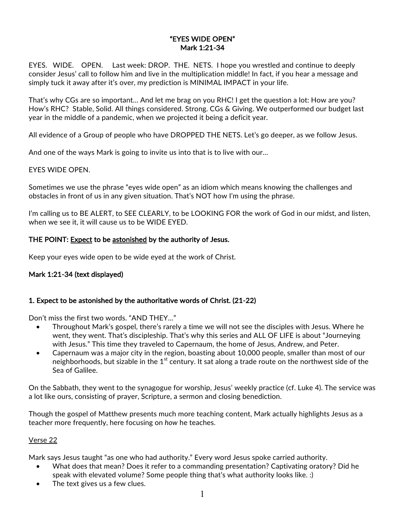### "EYES WIDE OPEN" Mark 1:21-34

EYES. WIDE. OPEN. Last week: DROP. THE. NETS. I hope you wrestled and continue to deeply consider Jesus' call to follow him and live in the multiplication middle! In fact, if you hear a message and simply tuck it away after it's over, my prediction is MINIMAL IMPACT in your life.

That's why CGs are so important… And let me brag on you RHC! I get the question a lot: How are you? How's RHC? Stable, Solid. All things considered. Strong. CGs & Giving. We outperformed our budget last year in the middle of a pandemic, when we projected it being a deficit year.

All evidence of a Group of people who have DROPPED THE NETS. Let's go deeper, as we follow Jesus.

And one of the ways Mark is going to invite us into that is to live with our…

#### EYES WIDE OPEN.

Sometimes we use the phrase "eyes wide open" as an idiom which means knowing the challenges and obstacles in front of us in any given situation. That's NOT how I'm using the phrase.

I'm calling us to BE ALERT, to SEE CLEARLY, to be LOOKING FOR the work of God in our midst, and listen, when we see it, it will cause us to be WIDE EYED.

### THE POINT: Expect to be astonished by the authority of Jesus.

Keep your eyes wide open to be wide eyed at the work of Christ.

### Mark 1:21-34 (text displayed)

### 1. Expect to be astonished by the authoritative words of Christ. (21-22)

Don't miss the first two words. "AND THEY…"

- Throughout Mark's gospel, there's rarely a time we will not see the disciples with Jesus. Where he went, they went. That's discipleship. That's why this series and ALL OF LIFE is about "Journeying with Jesus." This time they traveled to Capernaum, the home of Jesus, Andrew, and Peter.
- Capernaum was a major city in the region, boasting about 10,000 people, smaller than most of our neighborhoods, but sizable in the  $1<sup>st</sup>$  century. It sat along a trade route on the northwest side of the Sea of Galilee.

On the Sabbath, they went to the synagogue for worship, Jesus' weekly practice (cf. Luke 4). The service was a lot like ours, consisting of prayer, Scripture, a sermon and closing benediction.

Though the gospel of Matthew presents much more teaching content, Mark actually highlights Jesus as a teacher more frequently, here focusing on *how* he teaches.

#### Verse 22

Mark says Jesus taught "as one who had authority." Every word Jesus spoke carried authority.

- What does that mean? Does it refer to a commanding presentation? Captivating oratory? Did he speak with elevated volume? Some people thing that's what authority looks like. :)
- The text gives us a few clues.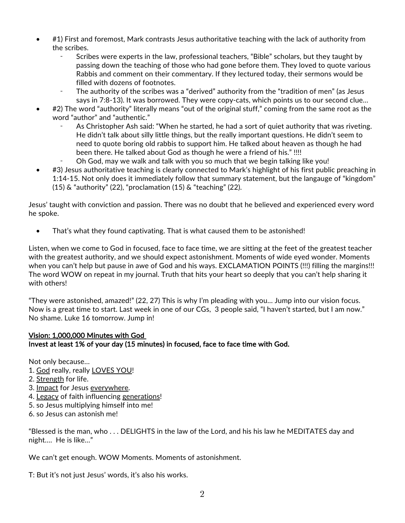- #1) First and foremost, Mark contrasts Jesus authoritative teaching with the lack of authority from the scribes.
	- Scribes were experts in the law, professional teachers, "Bible" scholars, but they taught by passing down the teaching of those who had gone before them. They loved to quote various Rabbis and comment on their commentary. If they lectured today, their sermons would be filled with dozens of footnotes.
	- The authority of the scribes was a "derived" authority from the "tradition of men" (as Jesus says in 7:8-13). It was borrowed. They were copy-cats, which points us to our second clue…
- #2) The word "authority" literally means "out of the original stuff," coming from the same root as the word "author" and "authentic."
	- As Christopher Ash said: "When he started, he had a sort of quiet authority that was riveting. He didn't talk about silly little things, but the really important questions. He didn't seem to need to quote boring old rabbis to support him. He talked about heaven as though he had been there. He talked about God as though he were a friend of his." !!!!
	- Oh God, may we walk and talk with you so much that we begin talking like you!
- #3) Jesus authoritative teaching is clearly connected to Mark's highlight of his first public preaching in 1:14-15. Not only does it immediately follow that summary statement, but the langauge of "kingdom" (15) & "authority" (22), "proclamation (15) & "teaching" (22).

Jesus' taught with conviction and passion. There was no doubt that he believed and experienced every word he spoke.

• That's what they found captivating. That is what caused them to be astonished!

Listen, when we come to God in focused, face to face time, we are sitting at the feet of the greatest teacher with the greatest authority, and we should expect astonishment. Moments of wide eyed wonder. Moments when you can't help but pause in awe of God and his ways. EXCLAMATION POINTS (!!!) filling the margins!!! The word WOW on repeat in my journal. Truth that hits your heart so deeply that you can't help sharing it with others!

"They were astonished, amazed!" (22, 27) This is why I'm pleading with you… Jump into our vision focus. Now is a great time to start. Last week in one of our CGs, 3 people said, "I haven't started, but I am now." No shame. Luke 16 tomorrow. Jump in!

### Vision: 1,000,000 Minutes with God Invest at least 1% of your day (15 minutes) in focused, face to face time with God.

Not only because…

- 1. God really, really LOVES YOU!
- 2. Strength for life.
- 3. Impact for Jesus everywhere.
- 4. Legacy of faith influencing generations!
- 5. so Jesus multiplying himself into me!
- 6. so Jesus can astonish me!

"Blessed is the man, who . . . DELIGHTS in the law of the Lord, and his his law he MEDITATES day and night…. He is like…"

We can't get enough. WOW Moments. Moments of astonishment.

T: But it's not just Jesus' words, it's also his works.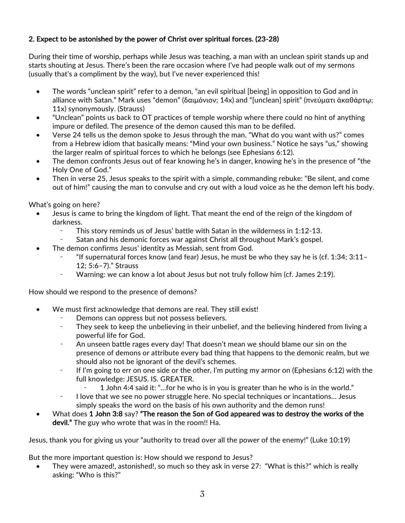# 2. Expect to be astonished by the power of Christ over spiritual forces. (23-28)

During their time of worship, perhaps while Jesus was teaching, a man with an unclean spirit stands up and starts shouting at Jesus. There's been the rare occasion where I've had people walk out of my sermons (usually that's a compliment by the way), but I've never experienced this!

- The words "unclean spirit" refer to a demon, "an evil spiritual [being] in opposition to God and in alliance with Satan." Mark uses "demon" (δαιμόνιον; 14x) and "[unclean] spirit" (πνεύματι ἀκαθάρτῳ; 11x) synonymously. (Strauss)
- "Unclean" points us back to OT practices of temple worship where there could no hint of anything impure or defiled. The presence of the demon caused this man to be defiled.
- Verse 24 tells us the demon spoke to Jesus through the man. "What do you want with us?" comes from a Hebrew idiom that basically means: "Mind your own business." Notice he says "us," showing the larger realm of spiritual forces to which he belongs (see Ephesians 6:12).
- The demon confronts Jesus out of fear knowing he's in danger, knowing he's in the presence of "the Holy One of God."
- Then in verse 25, Jesus speaks to the spirit with a simple, commanding rebuke: "Be silent, and come out of him!" causing the man to convulse and cry out with a loud voice as he the demon left his body.

What's going on here?

- Jesus is came to bring the kingdom of light. That meant the end of the reign of the kingdom of darkness.
	- This story reminds us of Jesus' battle with Satan in the wilderness in 1:12-13.
	- Satan and his demonic forces war against Christ all throughout Mark's gospel.
	- The demon confirms Jesus' identity as Messiah, sent from God.
		- ⁃ "If supernatural forces know (and fear) Jesus, he must be who they say he is (cf. 1:34; 3:11– 12; 5:6–7)." Strauss
		- Warning: we can know a lot about Jesus but not truly follow him (cf. James 2:19).

How should we respond to the presence of demons?

- We must first acknowledge that demons are real. They still exist!
	- Demons can oppress but not possess believers.
	- ⁃ They seek to keep the unbelieving in their unbelief, and the believing hindered from living a powerful life for God.
	- An unseen battle rages every day! That doesn't mean we should blame our sin on the presence of demons or attribute every bad thing that happens to the demonic realm, but we should also not be ignorant of the devil's schemes.
	- If I'm going to err on one side or the other, I'm putting my armor on (Ephesians 6:12) with the full knowledge: JESUS. IS. GREATER.
		- 1 John 4:4 said it: "...for he who is in you is greater than he who is in the world."
	- ⁃ I love that we see no power struggle here. No special techniques or incantations… Jesus simply speaks the word on the basis of his own authority and the demon runs!
- What does 1 John 3:8 say? "The reason the Son of God appeared was to destroy the works of the devil." The guy who wrote that was in the room!! Ha.

Jesus, thank you for giving us your "authority to tread over all the power of the enemy!" (Luke 10:19)

But the more important question is: How should we respond to Jesus?

• They were amazed!, astonished!, so much so they ask in verse 27: "What is this?" which is really asking: "Who is this?"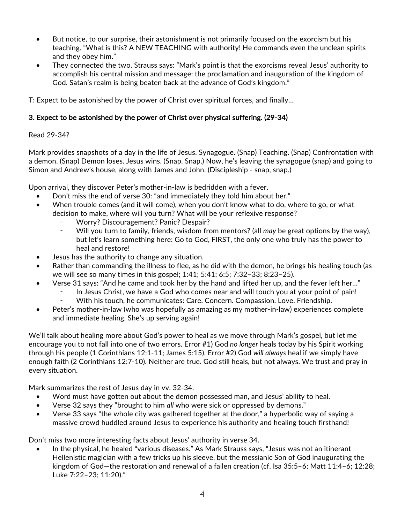- But notice, to our surprise, their astonishment is not primarily focused on the exorcism but his teaching. "What is this? A NEW TEACHING with authority! He commands even the unclean spirits and they obey him."
- They connected the two. Strauss says: "Mark's point is that the exorcisms reveal Jesus' authority to accomplish his central mission and message: the proclamation and inauguration of the kingdom of God. Satan's realm is being beaten back at the advance of God's kingdom."

T: Expect to be astonished by the power of Christ over spiritual forces, and finally…

# 3. Expect to be astonished by the power of Christ over physical suffering. (29-34)

### Read 29-34?

Mark provides snapshots of a day in the life of Jesus. Synagogue. (Snap) Teaching. (Snap) Confrontation with a demon. (Snap) Demon loses. Jesus wins. (Snap. Snap.) Now, he's leaving the synagogue (snap) and going to Simon and Andrew's house, along with James and John. (Discipleship - snap, snap.)

Upon arrival, they discover Peter's mother-in-law is bedridden with a fever.

- Don't miss the end of verse 30: "and immediately they told him about her."
- When trouble comes (and it will come), when you don't know what to do, where to go, or what decision to make, where will you turn? What will be your reflexive response?
	- Worry? Discouragement? Panic? Despair?
	- Will you turn to family, friends, wisdom from mentors? (all *may* be great options by the way), but let's learn something here: Go to God, FIRST, the only one who truly has the power to heal and restore!
- Jesus has the authority to change any situation.
- Rather than commanding the illness to flee, as he did with the demon, he brings his healing touch (as we will see so many times in this gospel; 1:41; 5:41; 6:5; 7:32–33; 8:23–25).
- Verse 31 says: "And he came and took her by the hand and lifted her up, and the fever left her…"
	- In Jesus Christ, we have a God who comes near and will touch you at your point of pain!
	- With his touch, he communicates: Care. Concern. Compassion. Love. Friendship.
- Peter's mother-in-law (who was hopefully as amazing as my mother-in-law) experiences complete and immediate healing. She's up serving again!

We'll talk about healing more about God's power to heal as we move through Mark's gospel, but let me encourage you to not fall into one of two errors. Error #1) God *no longer* heals today by his Spirit working through his people (1 Corinthians 12:1-11; James 5:15). Error #2) God *will always* heal if we simply have enough faith (2 Corinthians 12:7-10). Neither are true. God still heals, but not always. We trust and pray in every situation.

Mark summarizes the rest of Jesus day in vv. 32-34.

- Word must have gotten out about the demon possessed man, and Jesus' ability to heal.
- Verse 32 says they "brought to him *all* who were sick or oppressed by demons."
- Verse 33 says "the whole city was gathered together at the door," a hyperbolic way of saying a massive crowd huddled around Jesus to experience his authority and healing touch firsthand!

Don't miss two more interesting facts about Jesus' authority in verse 34.

In the physical, he healed "various diseases." As Mark Strauss says, "Jesus was not an itinerant Hellenistic magician with a few tricks up his sleeve, but the messianic Son of God inaugurating the kingdom of God—the restoration and renewal of a fallen creation (cf. Isa 35:5–6; Matt 11:4–6; 12:28; Luke 7:22–23; 11:20)."